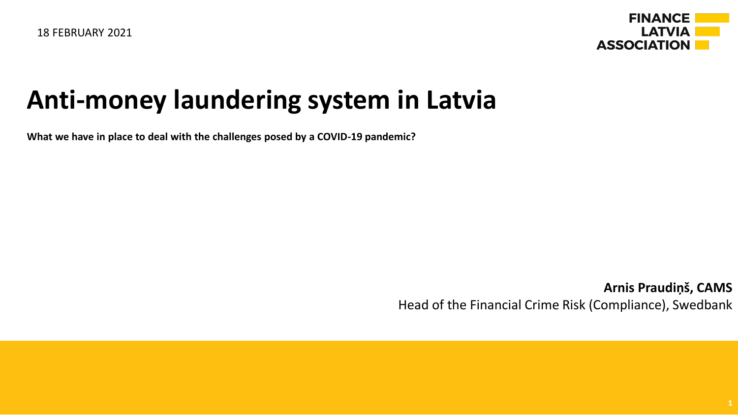

#### **Anti-money laundering system in Latvia**

**What we have in place to deal with the challenges posed by a COVID-19 pandemic?**

**Arnis Praudiņš, CAMS** Head of the Financial Crime Risk (Compliance), Swedbank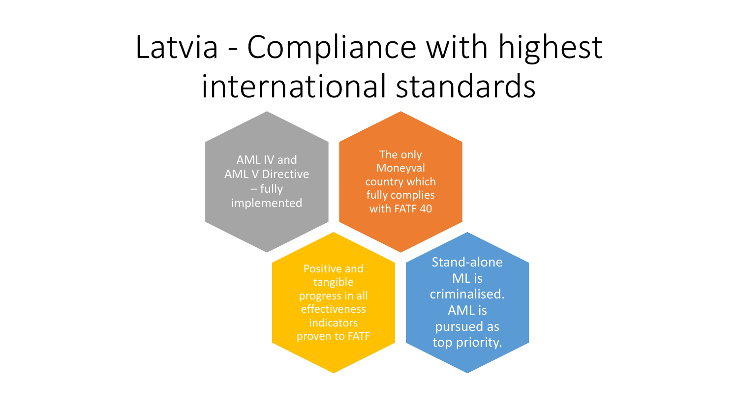# Latvia - Compliance with highest international standards

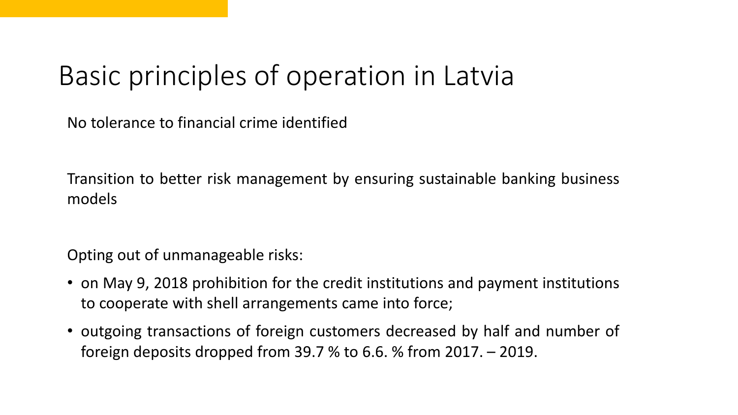### Basic principles of operation in Latvia

No tolerance to financial crime identified

Transition to better risk management by ensuring sustainable banking business models

Opting out of unmanageable risks:

- on May 9, 2018 prohibition for the credit institutions and payment institutions to cooperate with shell arrangements came into force;
- outgoing transactions of foreign customers decreased by half and number of foreign deposits dropped from 39.7 % to 6.6. % from 2017. – 2019.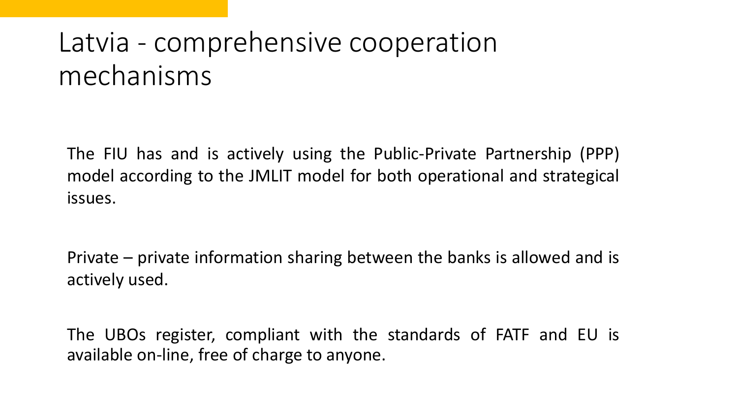### Latvia - comprehensive cooperation mechanisms

The FIU has and is actively using the Public-Private Partnership (PPP) model according to the JMLIT model for both operational and strategical issues.

Private – private information sharing between the banks is allowed and is actively used.

The UBOs register, compliant with the standards of FATF and EU is available on-line, free of charge to anyone.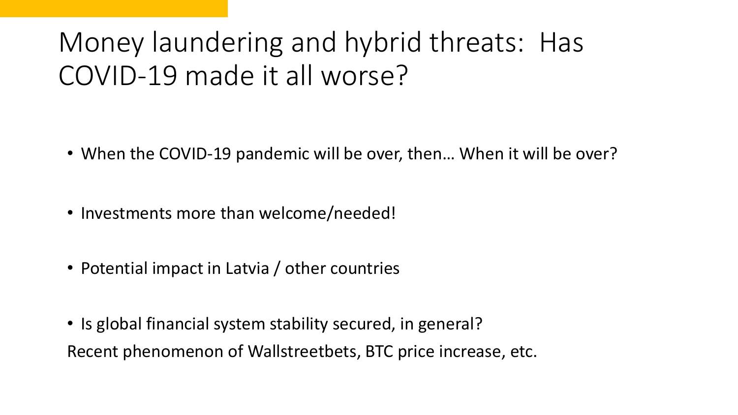## Money laundering and hybrid threats: Has COVID-19 made it all worse?

- When the COVID-19 pandemic will be over, then... When it will be over?
- Investments more than welcome/needed!
- Potential impact in Latvia / other countries
- Is global financial system stability secured, in general? Recent phenomenon of Wallstreetbets, BTC price increase, etc.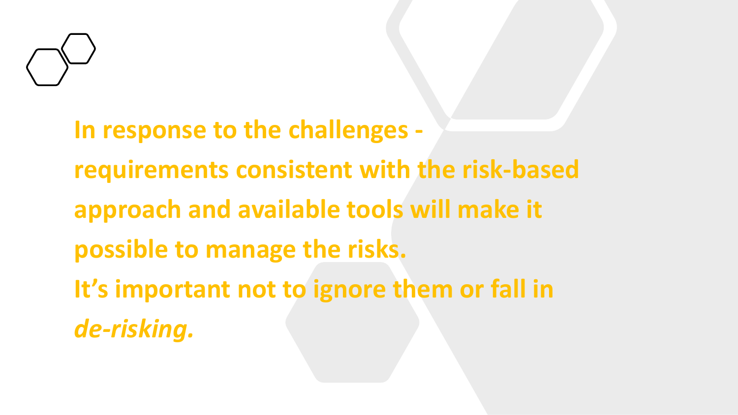

**In response to the challenges requirements consistent with the risk-based approach and available tools will make it possible to manage the risks. It's important not to ignore them or fall in**  *de-risking.*